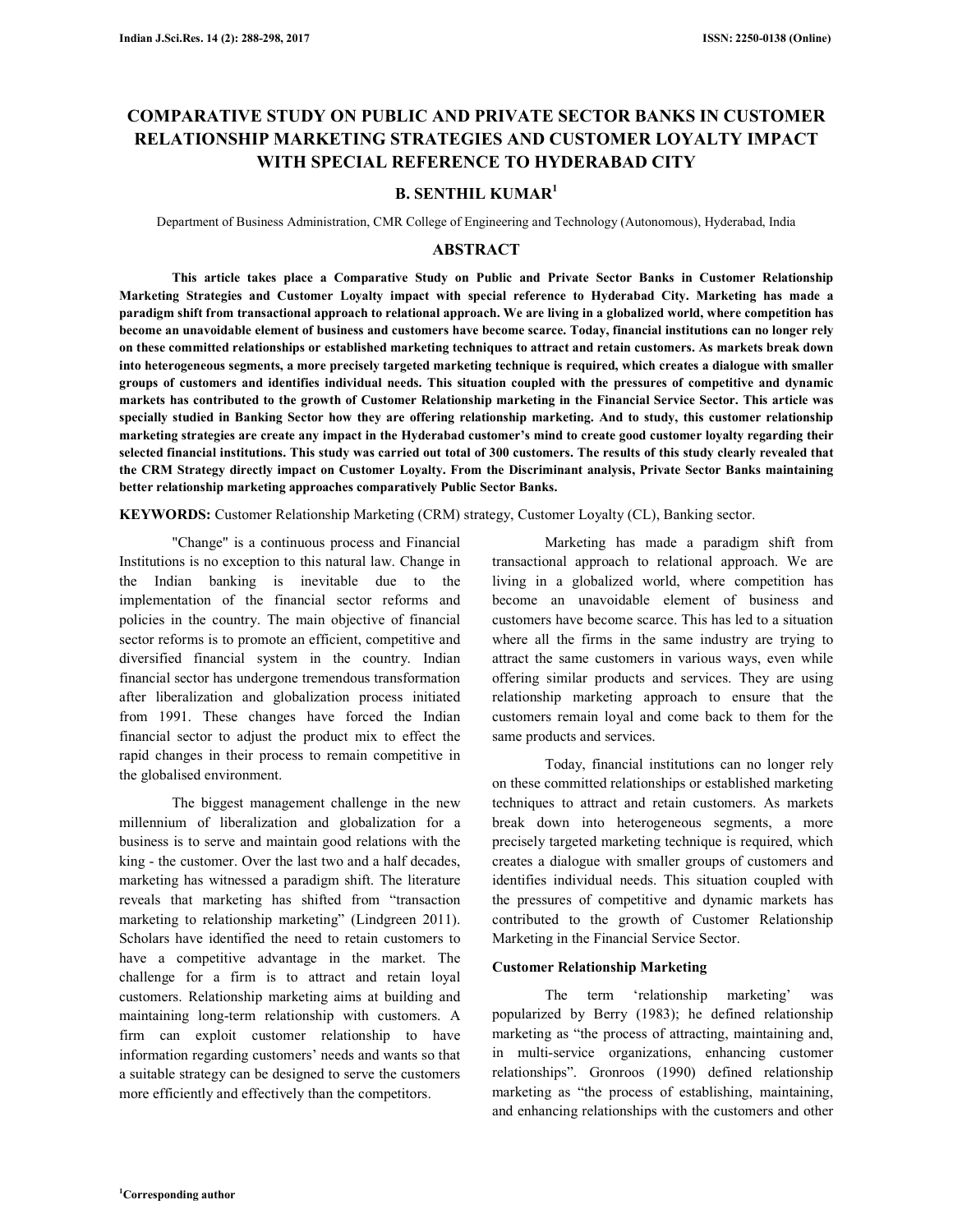# **COMPARATIVE STUDY ON PUBLIC AND PRIVATE SECTOR BANKS IN CUSTOMER RELATIONSHIP MARKETING STRATEGIES AND CUSTOMER LOYALTY IMPACT WITH SPECIAL REFERENCE TO HYDERABAD CITY**

# **B. SENTHIL KUMAR<sup>1</sup>**

Department of Business Administration, CMR College of Engineering and Technology (Autonomous), Hyderabad, India

#### **ABSTRACT**

**This article takes place a Comparative Study on Public and Private Sector Banks in Customer Relationship Marketing Strategies and Customer Loyalty impact with special reference to Hyderabad City. Marketing has made a paradigm shift from transactional approach to relational approach. We are living in a globalized world, where competition has become an unavoidable element of business and customers have become scarce. Today, financial institutions can no longer rely on these committed relationships or established marketing techniques to attract and retain customers. As markets break down into heterogeneous segments, a more precisely targeted marketing technique is required, which creates a dialogue with smaller groups of customers and identifies individual needs. This situation coupled with the pressures of competitive and dynamic markets has contributed to the growth of Customer Relationship marketing in the Financial Service Sector. This article was specially studied in Banking Sector how they are offering relationship marketing. And to study, this customer relationship marketing strategies are create any impact in the Hyderabad customer's mind to create good customer loyalty regarding their selected financial institutions. This study was carried out total of 300 customers. The results of this study clearly revealed that the CRM Strategy directly impact on Customer Loyalty. From the Discriminant analysis, Private Sector Banks maintaining better relationship marketing approaches comparatively Public Sector Banks.** 

**KEYWORDS:** Customer Relationship Marketing (CRM) strategy, Customer Loyalty (CL), Banking sector.

 "Change" is a continuous process and Financial Institutions is no exception to this natural law. Change in the Indian banking is inevitable due to the implementation of the financial sector reforms and policies in the country. The main objective of financial sector reforms is to promote an efficient, competitive and diversified financial system in the country. Indian financial sector has undergone tremendous transformation after liberalization and globalization process initiated from 1991. These changes have forced the Indian financial sector to adjust the product mix to effect the rapid changes in their process to remain competitive in the globalised environment.

 The biggest management challenge in the new millennium of liberalization and globalization for a business is to serve and maintain good relations with the king - the customer. Over the last two and a half decades, marketing has witnessed a paradigm shift. The literature reveals that marketing has shifted from "transaction marketing to relationship marketing" (Lindgreen 2011). Scholars have identified the need to retain customers to have a competitive advantage in the market. The challenge for a firm is to attract and retain loyal customers. Relationship marketing aims at building and maintaining long-term relationship with customers. A firm can exploit customer relationship to have information regarding customers' needs and wants so that a suitable strategy can be designed to serve the customers more efficiently and effectively than the competitors.

 Marketing has made a paradigm shift from transactional approach to relational approach. We are living in a globalized world, where competition has become an unavoidable element of business and customers have become scarce. This has led to a situation where all the firms in the same industry are trying to attract the same customers in various ways, even while offering similar products and services. They are using relationship marketing approach to ensure that the customers remain loyal and come back to them for the same products and services.

 Today, financial institutions can no longer rely on these committed relationships or established marketing techniques to attract and retain customers. As markets break down into heterogeneous segments, a more precisely targeted marketing technique is required, which creates a dialogue with smaller groups of customers and identifies individual needs. This situation coupled with the pressures of competitive and dynamic markets has contributed to the growth of Customer Relationship Marketing in the Financial Service Sector.

### **Customer Relationship Marketing**

 The term 'relationship marketing' was popularized by Berry (1983); he defined relationship marketing as "the process of attracting, maintaining and, in multi-service organizations, enhancing customer relationships". Gronroos (1990) defined relationship marketing as "the process of establishing, maintaining, and enhancing relationships with the customers and other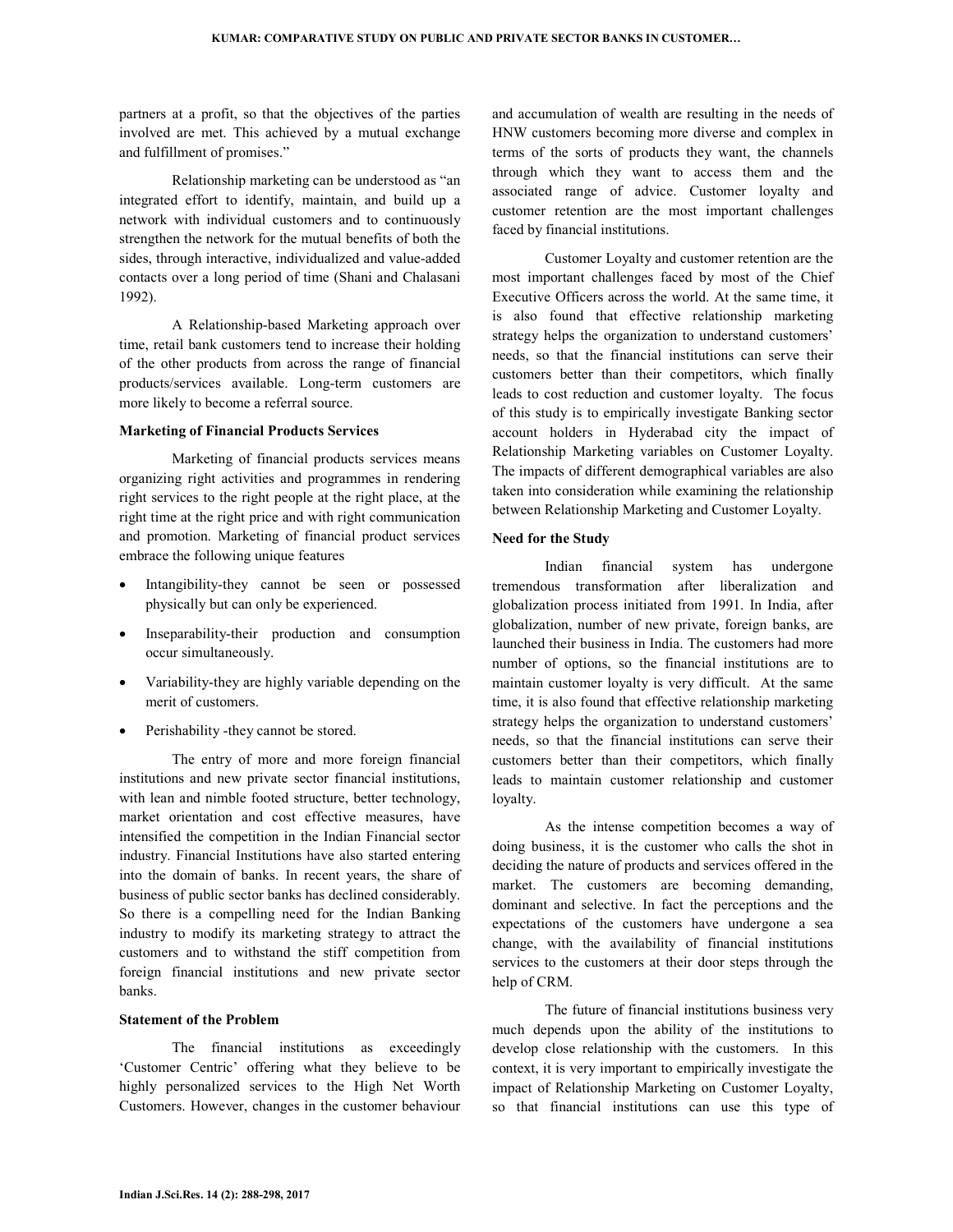partners at a profit, so that the objectives of the parties involved are met. This achieved by a mutual exchange and fulfillment of promises."

Relationship marketing can be understood as "an integrated effort to identify, maintain, and build up a network with individual customers and to continuously strengthen the network for the mutual benefits of both the sides, through interactive, individualized and value-added contacts over a long period of time (Shani and Chalasani 1992).

 A Relationship-based Marketing approach over time, retail bank customers tend to increase their holding of the other products from across the range of financial products/services available. Long-term customers are more likely to become a referral source.

## **Marketing of Financial Products Services**

Marketing of financial products services means organizing right activities and programmes in rendering right services to the right people at the right place, at the right time at the right price and with right communication and promotion. Marketing of financial product services embrace the following unique features

- Intangibility-they cannot be seen or possessed physically but can only be experienced.
- Inseparability-their production and consumption occur simultaneously.
- Variability-they are highly variable depending on the merit of customers.
- Perishability -they cannot be stored.

 The entry of more and more foreign financial institutions and new private sector financial institutions, with lean and nimble footed structure, better technology, market orientation and cost effective measures, have intensified the competition in the Indian Financial sector industry. Financial Institutions have also started entering into the domain of banks. In recent years, the share of business of public sector banks has declined considerably. So there is a compelling need for the Indian Banking industry to modify its marketing strategy to attract the customers and to withstand the stiff competition from foreign financial institutions and new private sector banks.

### **Statement of the Problem**

 The financial institutions as exceedingly 'Customer Centric' offering what they believe to be highly personalized services to the High Net Worth Customers. However, changes in the customer behaviour and accumulation of wealth are resulting in the needs of HNW customers becoming more diverse and complex in terms of the sorts of products they want, the channels through which they want to access them and the associated range of advice. Customer loyalty and customer retention are the most important challenges faced by financial institutions.

 Customer Loyalty and customer retention are the most important challenges faced by most of the Chief Executive Officers across the world. At the same time, it is also found that effective relationship marketing strategy helps the organization to understand customers' needs, so that the financial institutions can serve their customers better than their competitors, which finally leads to cost reduction and customer loyalty. The focus of this study is to empirically investigate Banking sector account holders in Hyderabad city the impact of Relationship Marketing variables on Customer Loyalty. The impacts of different demographical variables are also taken into consideration while examining the relationship between Relationship Marketing and Customer Loyalty.

### **Need for the Study**

 Indian financial system has undergone tremendous transformation after liberalization and globalization process initiated from 1991. In India, after globalization, number of new private, foreign banks, are launched their business in India. The customers had more number of options, so the financial institutions are to maintain customer loyalty is very difficult. At the same time, it is also found that effective relationship marketing strategy helps the organization to understand customers' needs, so that the financial institutions can serve their customers better than their competitors, which finally leads to maintain customer relationship and customer loyalty.

 As the intense competition becomes a way of doing business, it is the customer who calls the shot in deciding the nature of products and services offered in the market. The customers are becoming demanding, dominant and selective. In fact the perceptions and the expectations of the customers have undergone a sea change, with the availability of financial institutions services to the customers at their door steps through the help of CRM.

 The future of financial institutions business very much depends upon the ability of the institutions to develop close relationship with the customers. In this context, it is very important to empirically investigate the impact of Relationship Marketing on Customer Loyalty, so that financial institutions can use this type of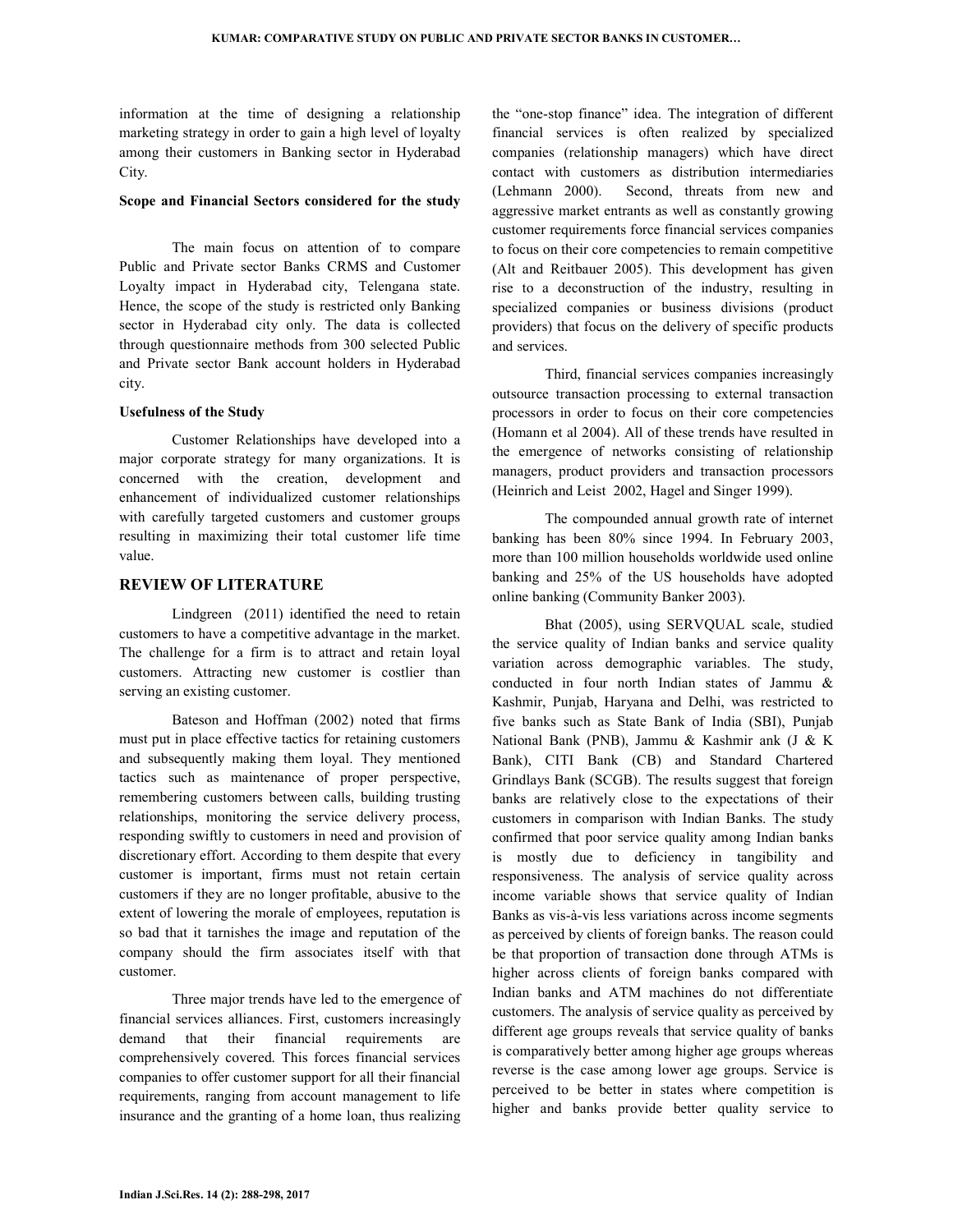information at the time of designing a relationship marketing strategy in order to gain a high level of loyalty among their customers in Banking sector in Hyderabad City.

#### **Scope and Financial Sectors considered for the study**

 The main focus on attention of to compare Public and Private sector Banks CRMS and Customer Loyalty impact in Hyderabad city, Telengana state. Hence, the scope of the study is restricted only Banking sector in Hyderabad city only. The data is collected through questionnaire methods from 300 selected Public and Private sector Bank account holders in Hyderabad city.

### **Usefulness of the Study**

 Customer Relationships have developed into a major corporate strategy for many organizations. It is concerned with the creation, development and enhancement of individualized customer relationships with carefully targeted customers and customer groups resulting in maximizing their total customer life time value.

### **REVIEW OF LITERATURE**

 Lindgreen (2011) identified the need to retain customers to have a competitive advantage in the market. The challenge for a firm is to attract and retain loyal customers. Attracting new customer is costlier than serving an existing customer.

 Bateson and Hoffman (2002) noted that firms must put in place effective tactics for retaining customers and subsequently making them loyal. They mentioned tactics such as maintenance of proper perspective, remembering customers between calls, building trusting relationships, monitoring the service delivery process, responding swiftly to customers in need and provision of discretionary effort. According to them despite that every customer is important, firms must not retain certain customers if they are no longer profitable, abusive to the extent of lowering the morale of employees, reputation is so bad that it tarnishes the image and reputation of the company should the firm associates itself with that customer.

 Three major trends have led to the emergence of financial services alliances. First, customers increasingly demand that their financial requirements are comprehensively covered. This forces financial services companies to offer customer support for all their financial requirements, ranging from account management to life insurance and the granting of a home loan, thus realizing the "one-stop finance" idea. The integration of different financial services is often realized by specialized companies (relationship managers) which have direct contact with customers as distribution intermediaries (Lehmann 2000). Second, threats from new and aggressive market entrants as well as constantly growing customer requirements force financial services companies to focus on their core competencies to remain competitive (Alt and Reitbauer 2005). This development has given rise to a deconstruction of the industry, resulting in specialized companies or business divisions (product providers) that focus on the delivery of specific products and services.

 Third, financial services companies increasingly outsource transaction processing to external transaction processors in order to focus on their core competencies (Homann et al 2004). All of these trends have resulted in the emergence of networks consisting of relationship managers, product providers and transaction processors (Heinrich and Leist 2002, Hagel and Singer 1999).

 The compounded annual growth rate of internet banking has been 80% since 1994. In February 2003, more than 100 million households worldwide used online banking and 25% of the US households have adopted online banking (Community Banker 2003).

 Bhat (2005), using SERVQUAL scale, studied the service quality of Indian banks and service quality variation across demographic variables. The study, conducted in four north Indian states of Jammu & Kashmir, Punjab, Haryana and Delhi, was restricted to five banks such as State Bank of India (SBI), Punjab National Bank (PNB), Jammu & Kashmir ank (J & K Bank), CITI Bank (CB) and Standard Chartered Grindlays Bank (SCGB). The results suggest that foreign banks are relatively close to the expectations of their customers in comparison with Indian Banks. The study confirmed that poor service quality among Indian banks is mostly due to deficiency in tangibility and responsiveness. The analysis of service quality across income variable shows that service quality of Indian Banks as vis-à-vis less variations across income segments as perceived by clients of foreign banks. The reason could be that proportion of transaction done through ATMs is higher across clients of foreign banks compared with Indian banks and ATM machines do not differentiate customers. The analysis of service quality as perceived by different age groups reveals that service quality of banks is comparatively better among higher age groups whereas reverse is the case among lower age groups. Service is perceived to be better in states where competition is higher and banks provide better quality service to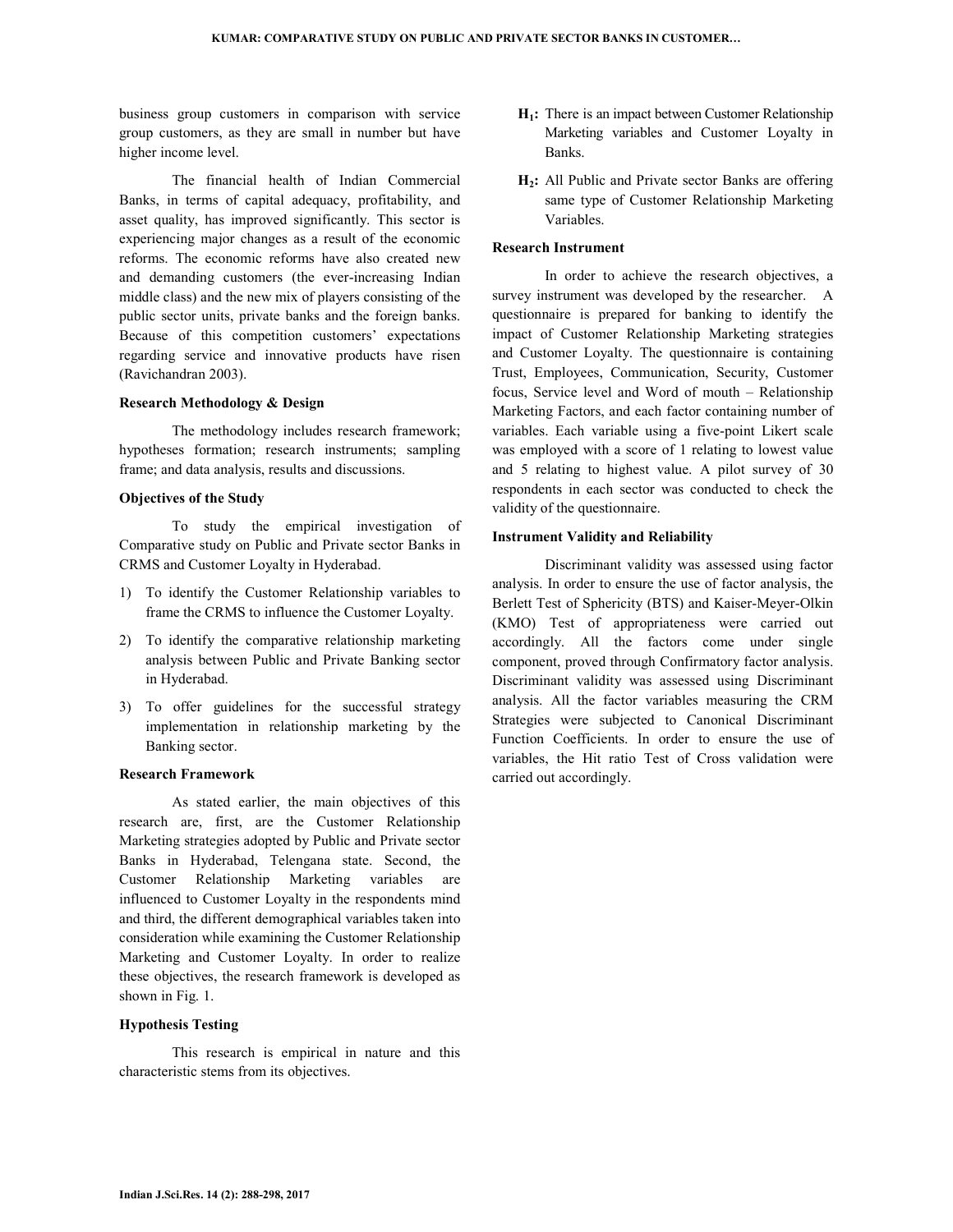business group customers in comparison with service group customers, as they are small in number but have higher income level.

 The financial health of Indian Commercial Banks, in terms of capital adequacy, profitability, and asset quality, has improved significantly. This sector is experiencing major changes as a result of the economic reforms. The economic reforms have also created new and demanding customers (the ever-increasing Indian middle class) and the new mix of players consisting of the public sector units, private banks and the foreign banks. Because of this competition customers' expectations regarding service and innovative products have risen (Ravichandran 2003).

#### **Research Methodology & Design**

 The methodology includes research framework; hypotheses formation; research instruments; sampling frame; and data analysis, results and discussions.

### **Objectives of the Study**

 To study the empirical investigation of Comparative study on Public and Private sector Banks in CRMS and Customer Loyalty in Hyderabad.

- 1) To identify the Customer Relationship variables to frame the CRMS to influence the Customer Loyalty.
- 2) To identify the comparative relationship marketing analysis between Public and Private Banking sector in Hyderabad.
- 3) To offer guidelines for the successful strategy implementation in relationship marketing by the Banking sector.

#### **Research Framework**

 As stated earlier, the main objectives of this research are, first, are the Customer Relationship Marketing strategies adopted by Public and Private sector Banks in Hyderabad, Telengana state. Second, the Customer Relationship Marketing variables are influenced to Customer Loyalty in the respondents mind and third, the different demographical variables taken into consideration while examining the Customer Relationship Marketing and Customer Loyalty. In order to realize these objectives, the research framework is developed as shown in Fig. 1.

### **Hypothesis Testing**

 This research is empirical in nature and this characteristic stems from its objectives.

- **H1:** There is an impact between Customer Relationship Marketing variables and Customer Loyalty in Banks.
- **H2:** All Public and Private sector Banks are offering same type of Customer Relationship Marketing Variables.

### **Research Instrument**

 In order to achieve the research objectives, a survey instrument was developed by the researcher. A questionnaire is prepared for banking to identify the impact of Customer Relationship Marketing strategies and Customer Loyalty. The questionnaire is containing Trust, Employees, Communication, Security, Customer focus, Service level and Word of mouth – Relationship Marketing Factors, and each factor containing number of variables. Each variable using a five-point Likert scale was employed with a score of 1 relating to lowest value and 5 relating to highest value. A pilot survey of 30 respondents in each sector was conducted to check the validity of the questionnaire.

#### **Instrument Validity and Reliability**

 Discriminant validity was assessed using factor analysis. In order to ensure the use of factor analysis, the Berlett Test of Sphericity (BTS) and Kaiser-Meyer-Olkin (KMO) Test of appropriateness were carried out accordingly. All the factors come under single component, proved through Confirmatory factor analysis. Discriminant validity was assessed using Discriminant analysis. All the factor variables measuring the CRM Strategies were subjected to Canonical Discriminant Function Coefficients. In order to ensure the use of variables, the Hit ratio Test of Cross validation were carried out accordingly.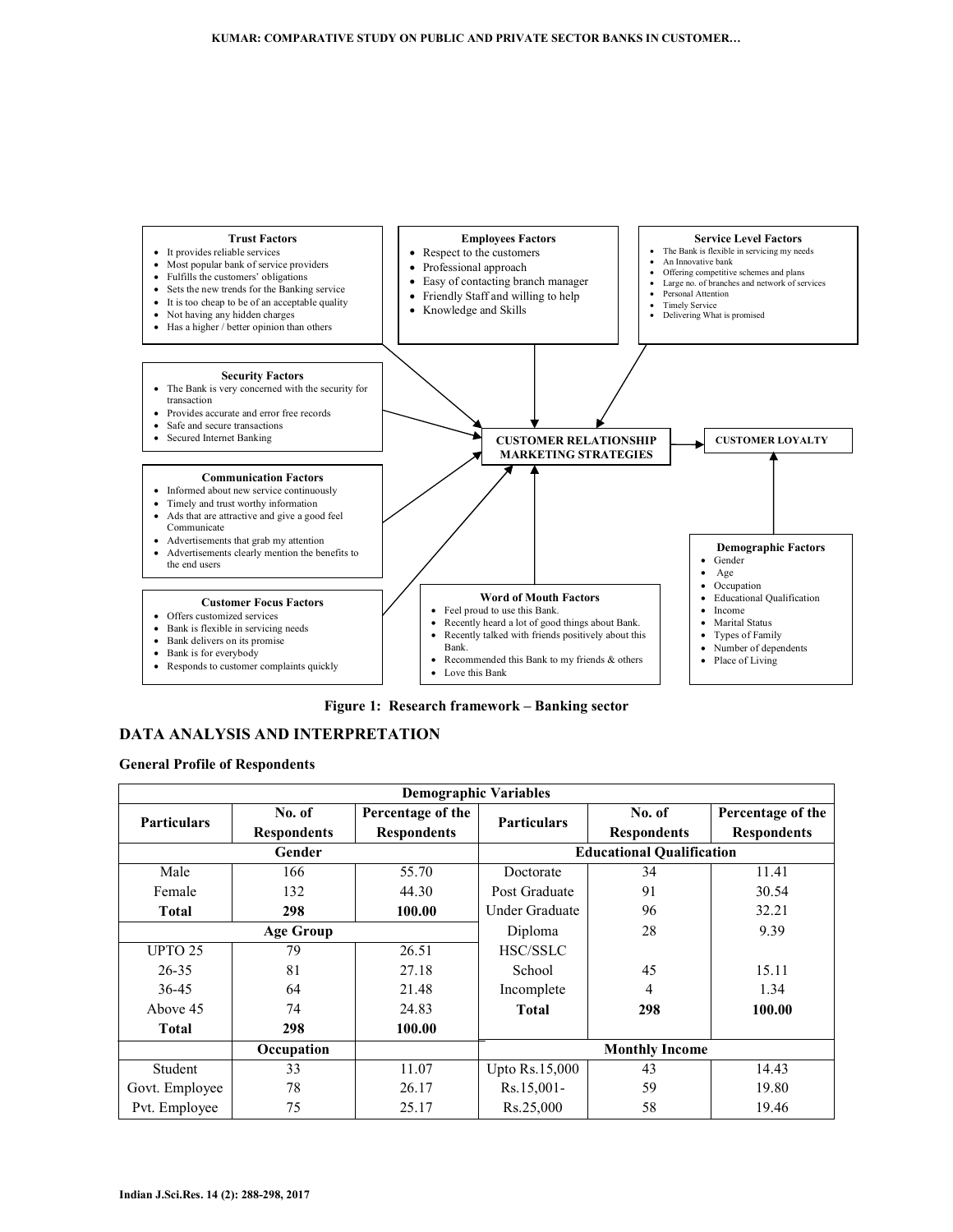

**Figure 1: Research framework – Banking sector**

# **DATA ANALYSIS AND INTERPRETATION**

**General Profile of Respondents** 

| <b>Demographic Variables</b> |                    |                    |                       |                                  |                    |  |  |
|------------------------------|--------------------|--------------------|-----------------------|----------------------------------|--------------------|--|--|
| <b>Particulars</b>           | No. of             | Percentage of the  | <b>Particulars</b>    | No. of                           | Percentage of the  |  |  |
|                              | <b>Respondents</b> | <b>Respondents</b> |                       | <b>Respondents</b>               | <b>Respondents</b> |  |  |
|                              | Gender             |                    |                       | <b>Educational Qualification</b> |                    |  |  |
| Male                         | 166                | 55.70              | Doctorate             | 34                               | 11.41              |  |  |
| Female                       | 132                | 44.30              | Post Graduate         | 91                               | 30.54              |  |  |
| <b>Total</b>                 | 298                | 100.00             | Under Graduate        | 96                               | 32.21              |  |  |
|                              | <b>Age Group</b>   |                    | 28<br>Diploma         |                                  | 9.39               |  |  |
| UPTO 25                      | 79                 | 26.51              | <b>HSC/SSLC</b>       |                                  |                    |  |  |
| $26 - 35$                    | 81                 | 27.18              | School                | 45                               | 15.11              |  |  |
| 36-45                        | 64                 | 21.48              | Incomplete            | 4                                | 1.34               |  |  |
| Above 45                     | 74                 | 24.83              | <b>Total</b>          | 298                              | 100.00             |  |  |
| <b>Total</b>                 | 298                | 100.00             |                       |                                  |                    |  |  |
|                              | Occupation         |                    | <b>Monthly Income</b> |                                  |                    |  |  |
| Student                      | 33                 | 11.07              | <b>Upto Rs.15,000</b> | 43                               | 14.43              |  |  |
| Govt. Employee               | 78                 | 26.17              | Rs.15,001-            | 59                               | 19.80              |  |  |
| Pvt. Employee                | 75                 | 25.17              | Rs.25,000             | 58                               | 19.46              |  |  |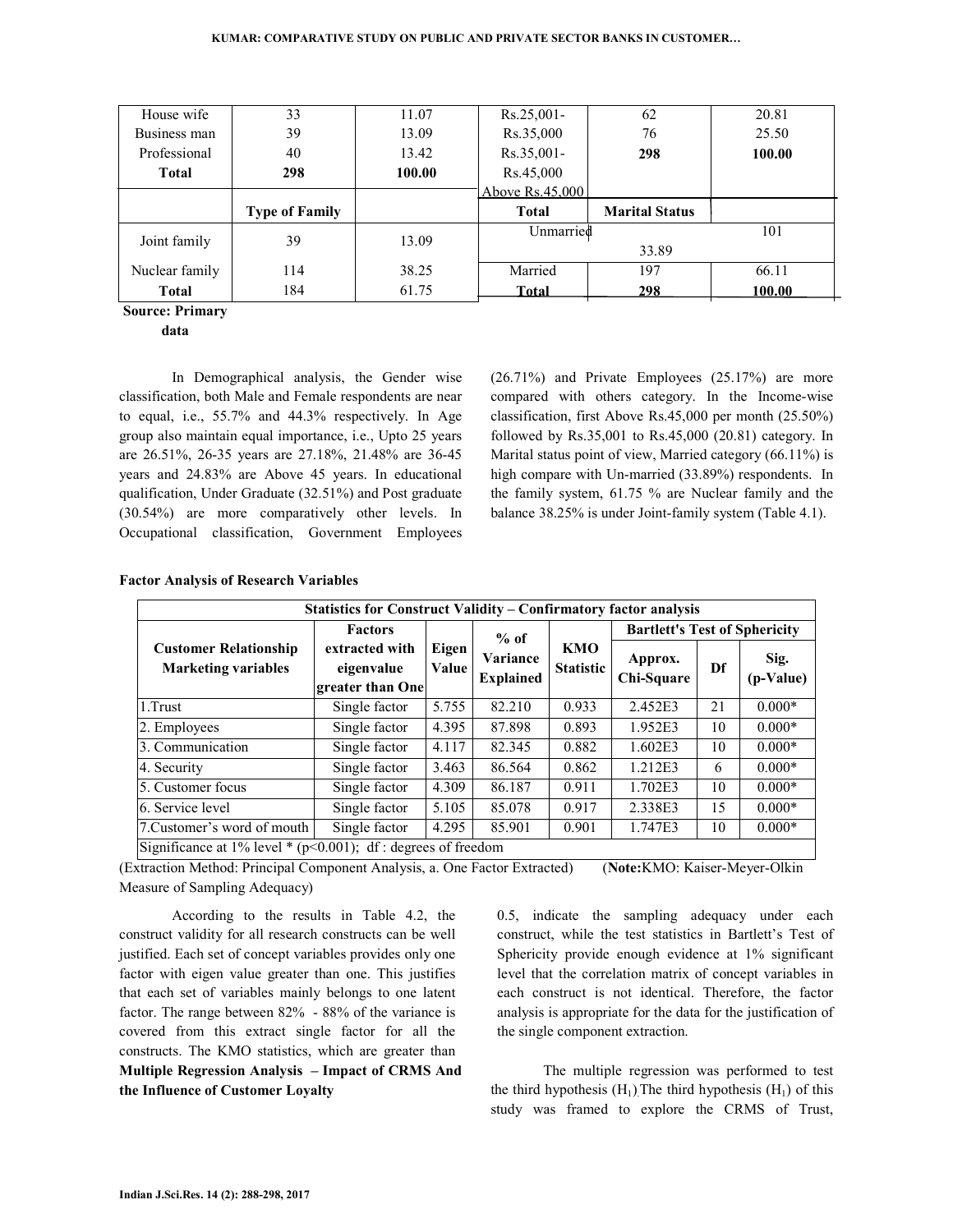| House wife     | 33                    | 11.07  | $Rs.25.001 -$   | 62                    | 20.81  |
|----------------|-----------------------|--------|-----------------|-----------------------|--------|
| Business man   | 39                    | 13.09  | Rs.35,000       | 76                    | 25.50  |
| Professional   | 40                    | 13.42  | Rs.35,001-      | 298                   | 100.00 |
| <b>Total</b>   | 298                   | 100.00 | Rs.45,000       |                       |        |
|                |                       |        | Above Rs.45,000 |                       |        |
|                |                       |        |                 |                       |        |
|                | <b>Type of Family</b> |        | <b>Total</b>    | <b>Marital Status</b> |        |
|                |                       |        | Unmarried       |                       | 101    |
| Joint family   | 39                    | 13.09  |                 | 33.89                 |        |
| Nuclear family | 114                   | 38.25  | Married         | 197                   | 66.11  |

**Source: Primary** 

**data**

 In Demographical analysis, the Gender wise classification, both Male and Female respondents are near to equal, i.e., 55.7% and 44.3% respectively. In Age group also maintain equal importance, i.e., Upto 25 years are 26.51%, 26-35 years are 27.18%, 21.48% are 36-45 years and 24.83% are Above 45 years. In educational qualification, Under Graduate (32.51%) and Post graduate (30.54%) are more comparatively other levels. In Occupational classification, Government Employees

(26.71%) and Private Employees (25.17%) are more compared with others category. In the Income-wise classification, first Above Rs.45,000 per month (25.50%) followed by Rs.35,001 to Rs.45,000 (20.81) category. In Marital status point of view, Married category (66.11%) is high compare with Un-married (33.89%) respondents. In the family system, 61.75 % are Nuclear family and the balance 38.25% is under Joint-family system (Table 4.1).

| <b>Statistics for Construct Validity - Confirmatory factor analysis</b> |                                                  |                |                              |                                |                                      |    |                   |  |
|-------------------------------------------------------------------------|--------------------------------------------------|----------------|------------------------------|--------------------------------|--------------------------------------|----|-------------------|--|
|                                                                         | <b>Factors</b>                                   | $%$ of         |                              |                                | <b>Bartlett's Test of Sphericity</b> |    |                   |  |
| <b>Customer Relationship</b><br><b>Marketing variables</b>              | extracted with<br>eigenvalue<br>greater than One | Eigen<br>Value | Variance<br><b>Explained</b> | <b>KMO</b><br><b>Statistic</b> | Approx.<br>Chi-Square                | Df | Sig.<br>(p-Value) |  |
| 1.Trust                                                                 | Single factor                                    | 5.755          | 82.210                       | 0.933                          | 2.452E3                              | 21 | $0.000*$          |  |
| 2. Employees                                                            | Single factor                                    | 4.395          | 87.898                       | 0.893                          | 1.952E3                              | 10 | $0.000*$          |  |
| 3. Communication                                                        | Single factor                                    | 4.117          | 82.345                       | 0.882                          | 1.602E3                              | 10 | $0.000*$          |  |
| 4. Security                                                             | Single factor                                    | 3.463          | 86.564                       | 0.862                          | 1.212E3                              | 6  | $0.000*$          |  |
| 5. Customer focus                                                       | Single factor                                    | 4.309          | 86.187                       | 0.911                          | 1.702E3                              | 10 | $0.000*$          |  |
| 6. Service level                                                        | Single factor                                    | 5.105          | 85.078                       | 0.917                          | 2.338E3                              | 15 | $0.000*$          |  |
| 7. Customer's word of mouth                                             | Single factor                                    | 4.295          | 85.901                       | 0.901                          | 1.747E3                              | 10 | $0.000*$          |  |
| Significance at $1\%$ level * ( $p<0.001$ ); df : degrees of freedom    |                                                  |                |                              |                                |                                      |    |                   |  |

#### **Factor Analysis of Research Variables**

(Extraction Method: Principal Component Analysis, a. One Factor Extracted) (**Note:**KMO: Kaiser-Meyer-Olkin Measure of Sampling Adequacy)

 According to the results in Table 4.2, the construct validity for all research constructs can be well justified. Each set of concept variables provides only one factor with eigen value greater than one. This justifies that each set of variables mainly belongs to one latent factor. The range between 82% - 88% of the variance is covered from this extract single factor for all the constructs. The KMO statistics, which are greater than **Multiple Regression Analysis – Impact of CRMS And the Influence of Customer Loyalty** 

0.5, indicate the sampling adequacy under each construct, while the test statistics in Bartlett's Test of Sphericity provide enough evidence at 1% significant level that the correlation matrix of concept variables in each construct is not identical. Therefore, the factor analysis is appropriate for the data for the justification of the single component extraction.

 The multiple regression was performed to test the third hypothesis  $(H_1)$ . The third hypothesis  $(H_1)$  of this study was framed to explore the CRMS of Trust,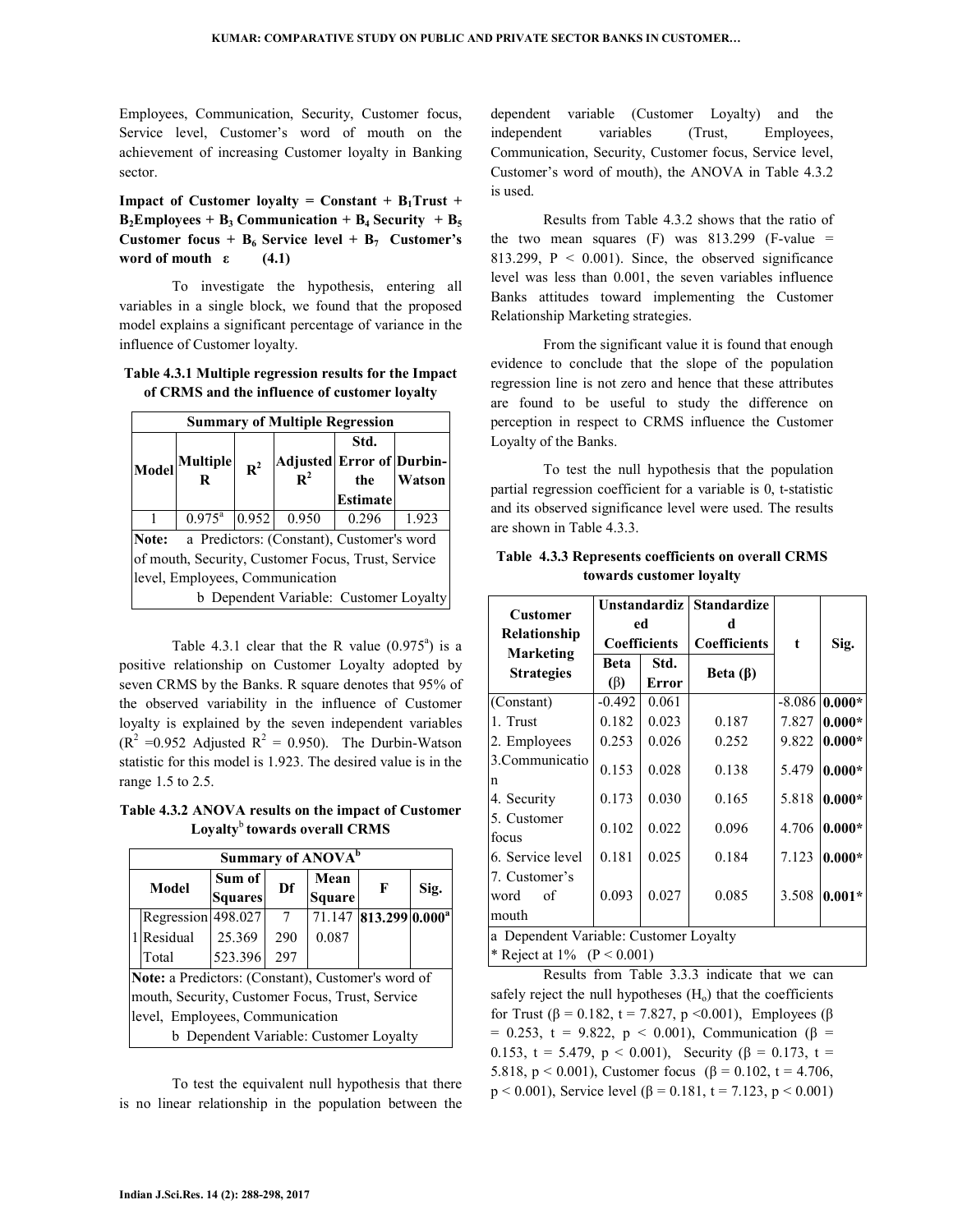Employees, Communication, Security, Customer focus, Service level, Customer's word of mouth on the achievement of increasing Customer loyalty in Banking sector.

**Impact of Customer loyalty = Constant +**  $B_1$ **Trust +**  $B_2$ **Employees + B<sub>3</sub> Communication + B<sub>4</sub> Security + B<sub>5</sub> Customer focus + B<sub>6</sub> Service level + B<sub>7</sub> Customer's** word of mouth  $\varepsilon$  (4.1)

 To investigate the hypothesis, entering all variables in a single block, we found that the proposed model explains a significant percentage of variance in the influence of Customer loyalty.

**Table 4.3.1 Multiple regression results for the Impact of CRMS and the influence of customer loyalty** 

| <b>Summary of Multiple Regression</b>              |                                                    |                |                                          |                                |               |  |  |
|----------------------------------------------------|----------------------------------------------------|----------------|------------------------------------------|--------------------------------|---------------|--|--|
| Model                                              | Multiple<br>R                                      | $\mathbf{R}^2$ | Adjusted Error of Durbin-<br>${\bf R}^2$ | Std.<br>the<br><b>Estimate</b> | <b>Watson</b> |  |  |
|                                                    | $0.975^{\rm a}$                                    | 0.952          | 0.950                                    | 0.296                          | 1.923         |  |  |
|                                                    | a Predictors: (Constant), Customer's word<br>Note: |                |                                          |                                |               |  |  |
| of mouth, Security, Customer Focus, Trust, Service |                                                    |                |                                          |                                |               |  |  |
| level, Employees, Communication                    |                                                    |                |                                          |                                |               |  |  |
|                                                    |                                                    |                | b Dependent Variable: Customer Loyalty   |                                |               |  |  |

Table 4.3.1 clear that the R value  $(0.975^a)$  is a positive relationship on Customer Loyalty adopted by seven CRMS by the Banks. R square denotes that 95% of the observed variability in the influence of Customer loyalty is explained by the seven independent variables  $(R<sup>2</sup> = 0.952$  Adjusted  $R<sup>2</sup> = 0.950$ . The Durbin-Watson statistic for this model is 1.923. The desired value is in the range 1.5 to 2.5.

**Table 4.3.2 ANOVA results on the impact of Customer Loyalty**<sup>b</sup>**towards overall CRMS** 

|                                 | Summary of ANOVA <sup>b</sup>                      |                                        |     |               |                                   |      |  |  |
|---------------------------------|----------------------------------------------------|----------------------------------------|-----|---------------|-----------------------------------|------|--|--|
|                                 | Model                                              | Sum of                                 | Df  | Mean          | F                                 |      |  |  |
|                                 |                                                    | <b>Squares</b>                         |     | <b>Square</b> |                                   | Sig. |  |  |
|                                 | Regression 498.027                                 |                                        | 7   |               | 71.147 813.299 0.000 <sup>a</sup> |      |  |  |
|                                 | 1 Residual                                         | 25.369                                 | 290 | 0.087         |                                   |      |  |  |
|                                 | Total                                              | 523.396                                | 297 |               |                                   |      |  |  |
|                                 | Note: a Predictors: (Constant), Customer's word of |                                        |     |               |                                   |      |  |  |
|                                 | mouth, Security, Customer Focus, Trust, Service    |                                        |     |               |                                   |      |  |  |
| level, Employees, Communication |                                                    |                                        |     |               |                                   |      |  |  |
|                                 |                                                    | b Dependent Variable: Customer Loyalty |     |               |                                   |      |  |  |

 To test the equivalent null hypothesis that there is no linear relationship in the population between the

dependent variable (Customer Loyalty) and the independent variables (Trust, Employees, Communication, Security, Customer focus, Service level, Customer's word of mouth), the ANOVA in Table 4.3.2 is used.

 Results from Table 4.3.2 shows that the ratio of the two mean squares  $(F)$  was 813.299 (F-value = 813.299,  $P < 0.001$ ). Since, the observed significance level was less than 0.001, the seven variables influence Banks attitudes toward implementing the Customer Relationship Marketing strategies.

 From the significant value it is found that enough evidence to conclude that the slope of the population regression line is not zero and hence that these attributes are found to be useful to study the difference on perception in respect to CRMS influence the Customer Loyalty of the Banks.

 To test the null hypothesis that the population partial regression coefficient for a variable is 0, t-statistic and its observed significance level were used. The results are shown in Table 4.3.3.

| <b>Customer</b>                                                         | Unstandardiz  <br>ed<br>Coefficients |       | <b>Standardize</b><br>d |            |          |  |
|-------------------------------------------------------------------------|--------------------------------------|-------|-------------------------|------------|----------|--|
| Relationship                                                            |                                      |       | <b>Coefficients</b>     | $\ddagger$ | Sig.     |  |
| <b>Marketing</b><br><b>Strategies</b>                                   | <b>Beta</b>                          | Std.  | Beta $(\beta)$          |            |          |  |
|                                                                         | (β)                                  | Error |                         |            |          |  |
| (Constant)                                                              | $-0.492$                             | 0.061 |                         | $-8.086$   | $0.000*$ |  |
| 1. Trust                                                                | 0.182                                | 0.023 | 0.187                   | 7.827      | $0.000*$ |  |
| 2. Employees                                                            | 0.253                                | 0.026 | 0.252                   | 9.822      | $0.000*$ |  |
| 3. Communicatio<br>n                                                    | 0.153                                | 0.028 | 0.138                   | 5.479      | $0.000*$ |  |
| 4. Security                                                             | 0.173                                | 0.030 | 0.165                   | 5.818      | $0.000*$ |  |
| 5. Customer<br>focus                                                    | 0.102                                | 0.022 | 0.096                   | 4.706      | $0.000*$ |  |
| 6. Service level                                                        | 0.181                                | 0.025 | 0.184                   | 7.123      | $0.000*$ |  |
| 7. Customer's<br>of<br>word<br>mouth                                    | 0.093                                | 0.027 | 0.085                   | 3.508      | $0.001*$ |  |
| a Dependent Variable: Customer Loyalty<br>* Reject at $1\%$ (P < 0.001) |                                      |       |                         |            |          |  |

**Table 4.3.3 Represents coefficients on overall CRMS towards customer loyalty** 

 Results from Table 3.3.3 indicate that we can safely reject the null hypotheses  $(H_0)$  that the coefficients for Trust (β = 0.182, t = 7.827, p <0.001), Employees (β  $= 0.253$ , t = 9.822, p < 0.001), Communication (β = 0.153, t = 5.479, p < 0.001), Security (β = 0.173, t = 5.818, p < 0.001), Customer focus ( $\beta$  = 0.102, t = 4.706,  $p < 0.001$ ), Service level (β = 0.181, t = 7.123, p < 0.001)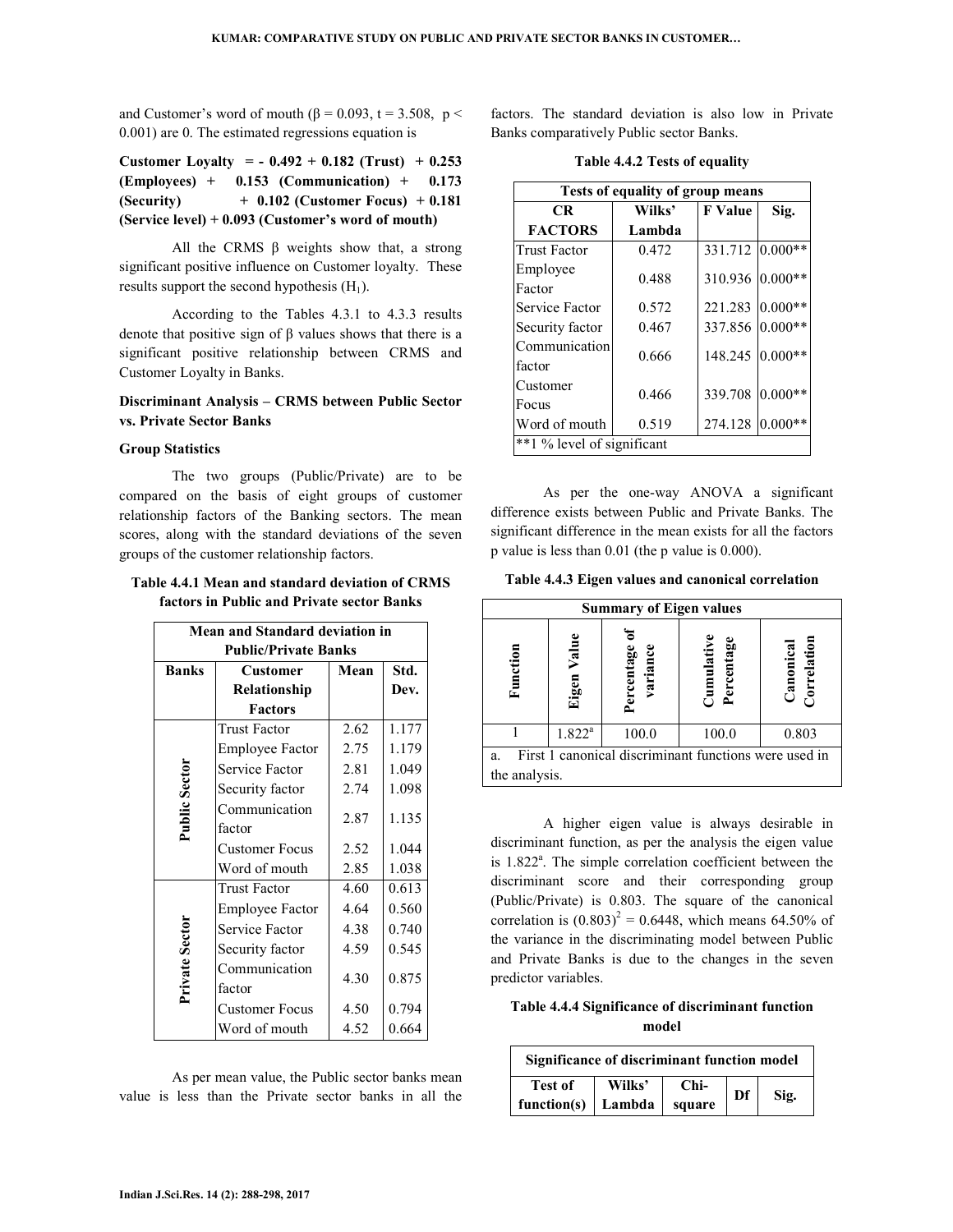and Customer's word of mouth ( $\beta$  = 0.093, t = 3.508, p < 0.001) are 0. The estimated regressions equation is

**Customer Loyalty = - 0.492 + 0.182 (Trust) + 0.253 (Employees) + 0.153 (Communication) + 0.173 (Security) + 0.102 (Customer Focus) + 0.181 (Service level) + 0.093 (Customer's word of mouth)** 

All the CRMS  $\beta$  weights show that, a strong significant positive influence on Customer loyalty. These results support the second hypothesis  $(H_1)$ .

 According to the Tables 4.3.1 to 4.3.3 results denote that positive sign of β values shows that there is a significant positive relationship between CRMS and Customer Loyalty in Banks.

# **Discriminant Analysis – CRMS between Public Sector vs. Private Sector Banks**

### **Group Statistics**

The two groups (Public/Private) are to be compared on the basis of eight groups of customer relationship factors of the Banking sectors. The mean scores, along with the standard deviations of the seven groups of the customer relationship factors.

### **Table 4.4.1 Mean and standard deviation of CRMS factors in Public and Private sector Banks**

| <b>Mean and Standard deviation in</b> |                         |      |       |  |  |  |  |
|---------------------------------------|-------------------------|------|-------|--|--|--|--|
| <b>Public/Private Banks</b>           |                         |      |       |  |  |  |  |
| <b>Banks</b>                          | <b>Customer</b>         | Mean | Std.  |  |  |  |  |
|                                       | Relationship            |      | Dev.  |  |  |  |  |
|                                       | <b>Factors</b>          |      |       |  |  |  |  |
|                                       | <b>Trust Factor</b>     | 2.62 | 1.177 |  |  |  |  |
|                                       | <b>Employee Factor</b>  | 2.75 | 1.179 |  |  |  |  |
|                                       | Service Factor          | 2.81 | 1.049 |  |  |  |  |
|                                       | Security factor         | 2.74 | 1.098 |  |  |  |  |
| Public Sector                         | Communication<br>factor | 2.87 | 1.135 |  |  |  |  |
|                                       | <b>Customer Focus</b>   | 2.52 | 1.044 |  |  |  |  |
|                                       | Word of mouth           | 2.85 | 1.038 |  |  |  |  |
|                                       | <b>Trust Factor</b>     | 4.60 | 0.613 |  |  |  |  |
|                                       | <b>Employee Factor</b>  | 4.64 | 0.560 |  |  |  |  |
|                                       | Service Factor          | 4.38 | 0.740 |  |  |  |  |
|                                       | Security factor         | 4.59 | 0.545 |  |  |  |  |
| <b>Private Sector</b>                 | Communication<br>factor | 4.30 | 0.875 |  |  |  |  |
|                                       | Customer Focus          | 4.50 | 0.794 |  |  |  |  |
|                                       | Word of mouth           | 4.52 | 0.664 |  |  |  |  |

 As per mean value, the Public sector banks mean value is less than the Private sector banks in all the

factors. The standard deviation is also low in Private Banks comparatively Public sector Banks.

|  |  |  |  | Table 4.4.2 Tests of equality |
|--|--|--|--|-------------------------------|
|--|--|--|--|-------------------------------|

| Tests of equality of group means |        |                 |           |  |  |  |  |
|----------------------------------|--------|-----------------|-----------|--|--|--|--|
| <b>CR</b>                        | Wilks' | <b>F</b> Value  | Sig.      |  |  |  |  |
| <b>FACTORS</b>                   | Lambda |                 |           |  |  |  |  |
| <b>Trust Factor</b>              | 0.472  | 331.712 0.000** |           |  |  |  |  |
| Employee                         | 0.488  | 310.936         | $0.000**$ |  |  |  |  |
| Factor                           |        |                 |           |  |  |  |  |
| Service Factor                   | 0.572  | 221.283         | $0.000**$ |  |  |  |  |
| Security factor                  | 0.467  | 337.856 0.000** |           |  |  |  |  |
| Communication                    | 0.666  | 148.245         | $0.000**$ |  |  |  |  |
| factor                           |        |                 |           |  |  |  |  |
| Customer                         | 0.466  | 339.708         | $0.000**$ |  |  |  |  |
| Focus                            |        |                 |           |  |  |  |  |
| Word of mouth                    | 0.519  | 274.128         | $0.000**$ |  |  |  |  |
| **1 % level of significant       |        |                 |           |  |  |  |  |

 As per the one-way ANOVA a significant difference exists between Public and Private Banks. The significant difference in the mean exists for all the factors p value is less than 0.01 (the p value is 0.000).

**Table 4.4.3 Eigen values and canonical correlation** 

| <b>Summary of Eigen values</b>                              |                |                        |                       |                              |  |  |
|-------------------------------------------------------------|----------------|------------------------|-----------------------|------------------------------|--|--|
| Function                                                    | Value<br>Eigen | Percentage<br>variance | ercentage<br>umulativ | orrelation<br>$\Box$ anonica |  |  |
|                                                             | $1.822^{a}$    | 100.0                  | 100.0                 | 0.803                        |  |  |
| First 1 canonical discriminant functions were used in<br>a. |                |                        |                       |                              |  |  |
| the analysis.                                               |                |                        |                       |                              |  |  |

 A higher eigen value is always desirable in discriminant function, as per the analysis the eigen value is 1.822<sup>ª</sup>. The simple correlation coefficient between the discriminant score and their corresponding group (Public/Private) is 0.803. The square of the canonical correlation is  $(0.803)^2 = 0.6448$ , which means 64.50% of the variance in the discriminating model between Public and Private Banks is due to the changes in the seven predictor variables.

### **Table 4.4.4 Significance of discriminant function model**

| Significance of discriminant function model |        |        |    |      |  |
|---------------------------------------------|--------|--------|----|------|--|
| <b>Test of</b>                              | Wilks' | Chi-   | Df |      |  |
| function(s)   Lambda                        |        | square |    | Sig. |  |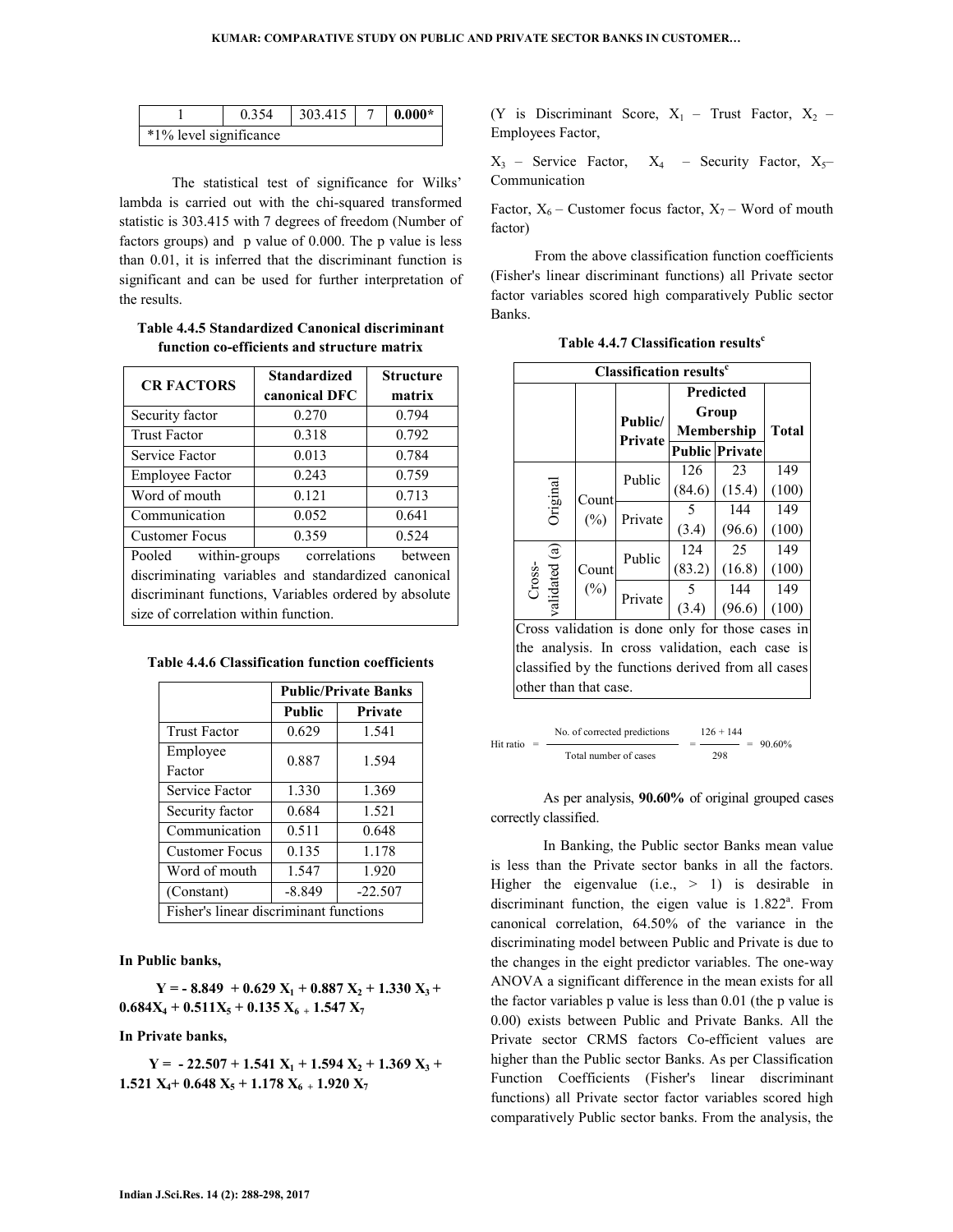|                        | 0.354 | 303.415 | $-0.000*$ |
|------------------------|-------|---------|-----------|
| *1% level significance |       |         |           |

 The statistical test of significance for Wilks' lambda is carried out with the chi-squared transformed statistic is 303.415 with 7 degrees of freedom (Number of factors groups) and p value of 0.000. The p value is less than 0.01, it is inferred that the discriminant function is significant and can be used for further interpretation of the results.

**Table 4.4.5 Standardized Canonical discriminant function co-efficients and structure matrix** 

| <b>CR FACTORS</b>                                     | <b>Standardized</b> | <b>Structure</b> |  |  |  |  |
|-------------------------------------------------------|---------------------|------------------|--|--|--|--|
|                                                       | canonical DFC       | matrix           |  |  |  |  |
| Security factor                                       | 0.270               | 0.794            |  |  |  |  |
| <b>Trust Factor</b>                                   | 0.318               | 0.792            |  |  |  |  |
| Service Factor                                        | 0.013               | 0.784            |  |  |  |  |
| <b>Employee Factor</b>                                | 0.243               | 0.759            |  |  |  |  |
| Word of mouth                                         | 0.121               | 0.713            |  |  |  |  |
| Communication                                         | 0.641               |                  |  |  |  |  |
| <b>Customer Focus</b>                                 | 0.359               | 0.524            |  |  |  |  |
| within-groups correlations<br>between<br>Pooled       |                     |                  |  |  |  |  |
| discriminating variables and standardized canonical   |                     |                  |  |  |  |  |
| discriminant functions, Variables ordered by absolute |                     |                  |  |  |  |  |
| size of correlation within function.                  |                     |                  |  |  |  |  |

|                                        | <b>Public/Private Banks</b> |           |  |  |
|----------------------------------------|-----------------------------|-----------|--|--|
|                                        | Public                      | Private   |  |  |
| <b>Trust Factor</b>                    | 0.629                       | 1.541     |  |  |
| Employee                               | 0.887                       | 1.594     |  |  |
| Factor                                 |                             |           |  |  |
| Service Factor                         | 1.330                       | 1.369     |  |  |
| Security factor                        | 0.684                       | 1.521     |  |  |
| Communication                          | 0.511                       | 0.648     |  |  |
| <b>Customer Focus</b>                  | 0.135                       | 1.178     |  |  |
| Word of mouth                          | 1.547                       | 1.920     |  |  |
| (Constant)                             | $-8.849$                    | $-22.507$ |  |  |
| Fisher's linear discriminant functions |                             |           |  |  |

**In Public banks,** 

 $Y = -8.849 + 0.629 X_1 + 0.887 X_2 + 1.330 X_3 +$  $0.684X_4 + 0.511X_5 + 0.135X_6 + 1.547X_7$ 

**In Private banks,** 

 $Y = -22.507 + 1.541 X_1 + 1.594 X_2 + 1.369 X_3 +$ **1.521 X4+ 0.648 X5 + 1.178 X6 + 1.920 X<sup>7</sup>**

(Y is Discriminant Score,  $X_1$  – Trust Factor,  $X_2$  – Employees Factor,

 $X_3$  – Service Factor,  $X_4$  – Security Factor,  $X_5$ – Communication

Factor,  $X_6$  – Customer focus factor,  $X_7$  – Word of mouth factor)

From the above classification function coefficients (Fisher's linear discriminant functions) all Private sector factor variables scored high comparatively Public sector Banks.

| <b>Classification results<sup>c</sup></b> |                 |         |                                                |                       |              |
|-------------------------------------------|-----------------|---------|------------------------------------------------|-----------------------|--------------|
|                                           |                 |         | <b>Predicted</b><br>Group<br><b>Membership</b> |                       |              |
|                                           |                 | Public/ |                                                |                       |              |
|                                           |                 | Private |                                                |                       | <b>Total</b> |
|                                           |                 |         |                                                | <b>Public Private</b> |              |
| Original                                  | Count<br>$(\%)$ | Public  | 126                                            | 23                    | 149          |
|                                           |                 |         | (84.6)                                         | (15.4)                | (100)        |
|                                           |                 | Private | 5                                              | 144                   | 149          |
|                                           |                 |         | (3.4)                                          | (96.6)                | (100)        |
| validated (a)<br>Cross-                   | Count<br>$(\%)$ | Public  | 124                                            | 25                    | 149          |
|                                           |                 |         | (83.2)                                         | (16.8)                | (100)        |
|                                           |                 | Private |                                                | 144                   | 149          |
|                                           |                 |         | (3.4)                                          | (96.6)                | (100)        |

**Table 4.4.7 Classification results<sup>c</sup>**

Cross validation is done only for those cases in the analysis. In cross validation, each case is classified by the functions derived from all cases other than that case.

|           | No. of corrected predictions | $126 + 144$ |             |
|-----------|------------------------------|-------------|-------------|
| Hit ratio |                              |             | $= 90.60\%$ |
|           | Total number of cases        | 298         |             |

 As per analysis, **90.60%** of original grouped cases correctly classified.

 In Banking, the Public sector Banks mean value is less than the Private sector banks in all the factors. Higher the eigenvalue  $(i.e., > 1)$  is desirable in discriminant function, the eigen value is  $1.822<sup>a</sup>$ . From canonical correlation, 64.50% of the variance in the discriminating model between Public and Private is due to the changes in the eight predictor variables. The one-way ANOVA a significant difference in the mean exists for all the factor variables p value is less than 0.01 (the p value is 0.00) exists between Public and Private Banks. All the Private sector CRMS factors Co-efficient values are higher than the Public sector Banks. As per Classification Function Coefficients (Fisher's linear discriminant functions) all Private sector factor variables scored high comparatively Public sector banks. From the analysis, the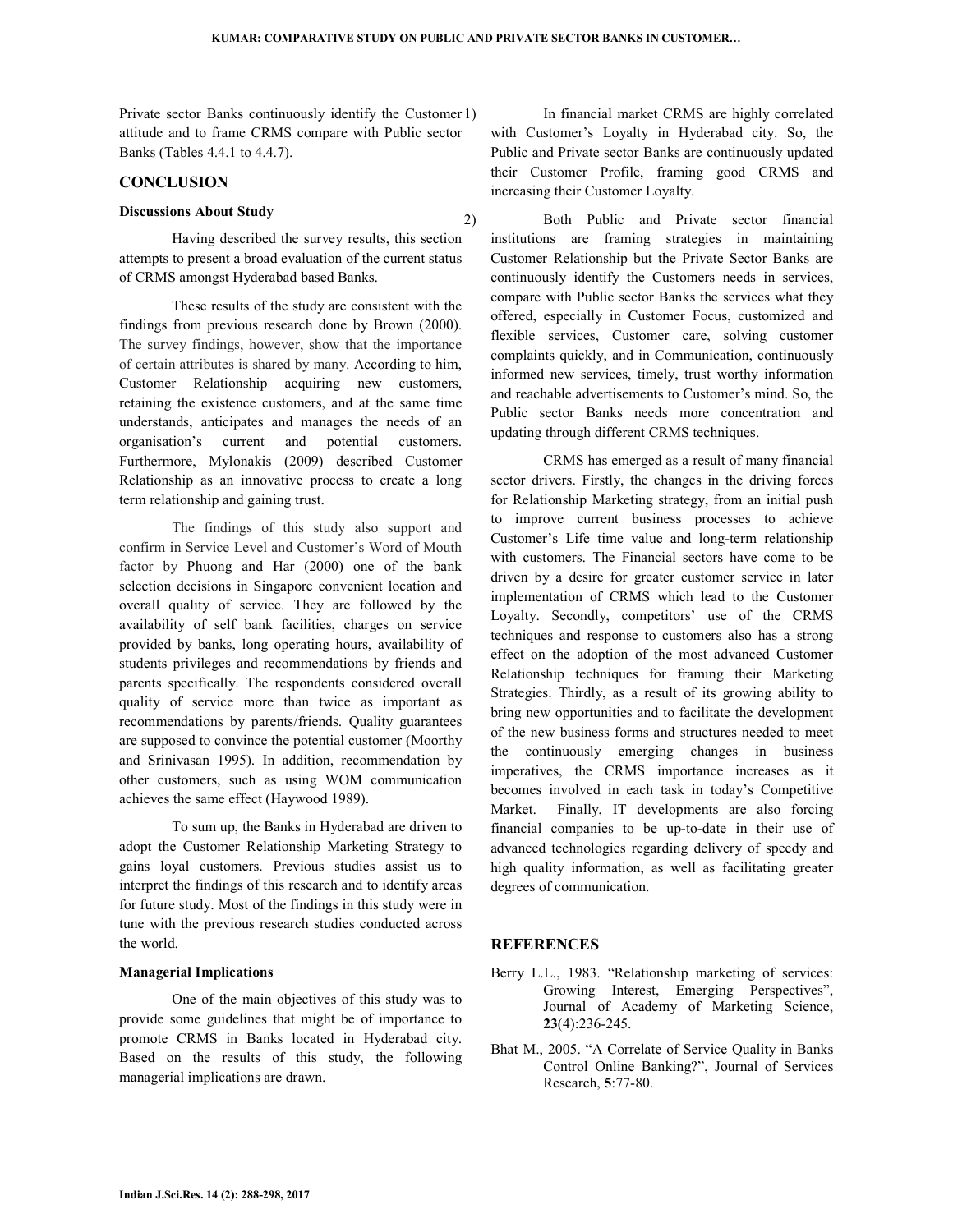Private sector Banks continuously identify the Customer 1) attitude and to frame CRMS compare with Public sector Banks (Tables 4.4.1 to 4.4.7).

### **CONCLUSION**

# **Discussions About Study**

 Having described the survey results, this section attempts to present a broad evaluation of the current status of CRMS amongst Hyderabad based Banks.

 These results of the study are consistent with the findings from previous research done by Brown (2000). The survey findings, however, show that the importance of certain attributes is shared by many. According to him, Customer Relationship acquiring new customers, retaining the existence customers, and at the same time understands, anticipates and manages the needs of an organisation's current and potential customers. Furthermore, Mylonakis (2009) described Customer Relationship as an innovative process to create a long term relationship and gaining trust.

 The findings of this study also support and confirm in Service Level and Customer's Word of Mouth factor by Phuong and Har (2000) one of the bank selection decisions in Singapore convenient location and overall quality of service. They are followed by the availability of self bank facilities, charges on service provided by banks, long operating hours, availability of students privileges and recommendations by friends and parents specifically. The respondents considered overall quality of service more than twice as important as recommendations by parents/friends. Quality guarantees are supposed to convince the potential customer (Moorthy and Srinivasan 1995). In addition, recommendation by other customers, such as using WOM communication achieves the same effect (Haywood 1989).

 To sum up, the Banks in Hyderabad are driven to adopt the Customer Relationship Marketing Strategy to gains loyal customers. Previous studies assist us to interpret the findings of this research and to identify areas for future study. Most of the findings in this study were in tune with the previous research studies conducted across the world.

#### **Managerial Implications**

 One of the main objectives of this study was to provide some guidelines that might be of importance to promote CRMS in Banks located in Hyderabad city. Based on the results of this study, the following managerial implications are drawn.

1) In financial market CRMS are highly correlated with Customer's Loyalty in Hyderabad city. So, the Public and Private sector Banks are continuously updated their Customer Profile, framing good CRMS and increasing their Customer Loyalty.

2) Both Public and Private sector financial institutions are framing strategies in maintaining Customer Relationship but the Private Sector Banks are continuously identify the Customers needs in services, compare with Public sector Banks the services what they offered, especially in Customer Focus, customized and flexible services, Customer care, solving customer complaints quickly, and in Communication, continuously informed new services, timely, trust worthy information and reachable advertisements to Customer's mind. So, the Public sector Banks needs more concentration and updating through different CRMS techniques.

 CRMS has emerged as a result of many financial sector drivers. Firstly, the changes in the driving forces for Relationship Marketing strategy, from an initial push to improve current business processes to achieve Customer's Life time value and long-term relationship with customers. The Financial sectors have come to be driven by a desire for greater customer service in later implementation of CRMS which lead to the Customer Loyalty. Secondly, competitors' use of the CRMS techniques and response to customers also has a strong effect on the adoption of the most advanced Customer Relationship techniques for framing their Marketing Strategies. Thirdly, as a result of its growing ability to bring new opportunities and to facilitate the development of the new business forms and structures needed to meet the continuously emerging changes in business imperatives, the CRMS importance increases as it becomes involved in each task in today's Competitive Market. Finally, IT developments are also forcing financial companies to be up-to-date in their use of advanced technologies regarding delivery of speedy and high quality information, as well as facilitating greater degrees of communication.

### **REFERENCES**

- Berry L.L., 1983. "Relationship marketing of services: Growing Interest, Emerging Perspectives", Journal of Academy of Marketing Science, **23**(4):236-245.
- Bhat M., 2005. "A Correlate of Service Quality in Banks Control Online Banking?", Journal of Services Research, **5**:77-80.